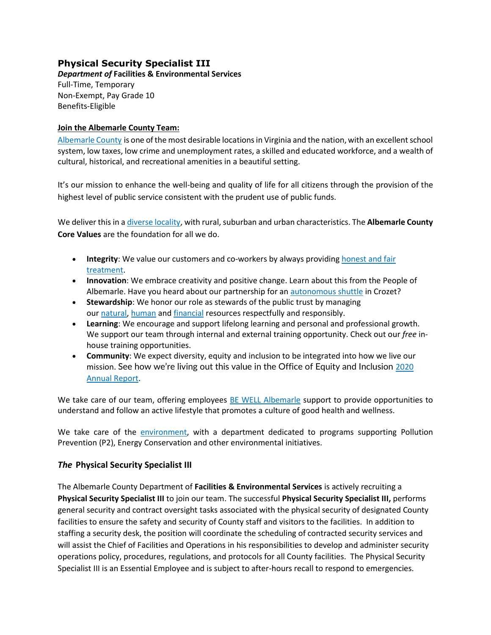# **Physical Security Specialist III**

*Department of* **Facilities & Environmental Services** Full-Time, Temporary Non-Exempt, Pay Grade 10 Benefits-Eligible

### **Join the Albemarle County Team:**

[Albemarle County](https://www.visitcharlottesville.org/) is one of the most desirable locations in Virginia and the nation, with an excellent school system, low taxes, low crime and unemployment rates, a skilled and educated workforce, and a wealth of cultural, historical, and recreational amenities in a beautiful setting.

It's our mission to enhance the well-being and quality of life for all citizens through the provision of the highest level of public service consistent with the prudent use of public funds.

We deliver this in [a diverse locality,](https://www.enablealbemarle.org/about-albemarle/living-here) with rural, suburban and urban characteristics. The **Albemarle County Core Values** are the foundation for all we do.

- **Integrity**: We value our customers and co-workers by always providing [honest and fair](https://www.albemarle.org/home/showpublisheddocument?id=414)  [treatment.](https://www.albemarle.org/home/showpublisheddocument?id=414)
- **Innovation**: We embrace creativity and positive change. Learn about this from the People of Albemarle. Have you heard about our partnership for an [autonomous shuttle](https://www.albemarle.org/home/showpublisheddocument?id=666) in Crozet?
- **Stewardship**: We honor our role as stewards of the public trust by managing our [natural,](https://www.albemarle.org/government/facilities-environmental-services/environmental-stewardship) [human](https://www.albemarle.org/government/human-resources/working-at-albemarle) and [financial](https://www.albemarle.org/government/budget) resources respectfully and responsibly.
- **Learning**: We encourage and support lifelong learning and personal and professional growth. We support our team through internal and external training opportunity. Check out our *free* inhouse training opportunities.
- **Community**: We expect diversity, equity and inclusion to be integrated into how we live our mission. See how we're living out this value in the Office of Equity and Inclusion [2020](https://albemarle.legistar.com/View.ashx?M=F&ID=9054803&GUID=1E9D81DC-C420-4CAF-B8D1-91825ABFD287)  [Annual Report.](https://albemarle.legistar.com/View.ashx?M=F&ID=9054803&GUID=1E9D81DC-C420-4CAF-B8D1-91825ABFD287)

We take care of our team, offering employees [BE WELL Albemarle](http://bewell.albemarle.org/Pages/default.aspx) support to provide opportunities to understand and follow an active lifestyle that promotes a culture of good health and wellness.

We take care of the [environment,](https://www.albemarle.org/home/showpublisheddocument?id=5432) with a department dedicated to programs supporting Pollution Prevention (P2), Energy Conservation and other environmental initiatives.

# *The* **Physical Security Specialist III**

The Albemarle County Department of **Facilities & Environmental Services** is actively recruiting a **Physical Security Specialist III** to join our team. The successful **Physical Security Specialist III,** performs general security and contract oversight tasks associated with the physical security of designated County facilities to ensure the safety and security of County staff and visitors to the facilities. In addition to staffing a security desk, the position will coordinate the scheduling of contracted security services and will assist the Chief of Facilities and Operations in his responsibilities to develop and administer security operations policy, procedures, regulations, and protocols for all County facilities. The Physical Security Specialist III is an Essential Employee and is subject to after-hours recall to respond to emergencies.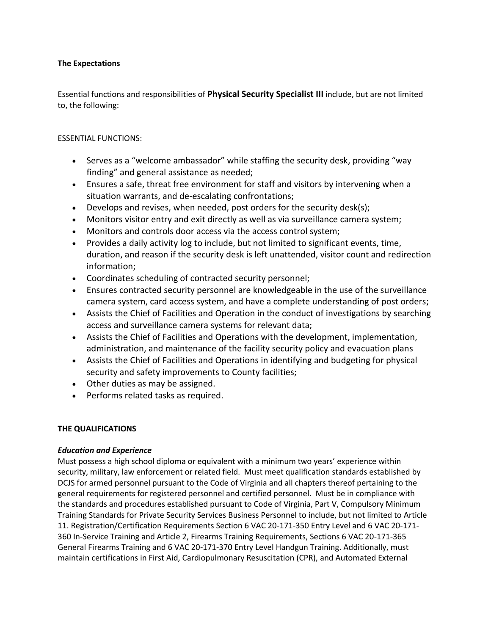### **The Expectations**

Essential functions and responsibilities of **Physical Security Specialist III** include, but are not limited to, the following:

### ESSENTIAL FUNCTIONS:

- Serves as a "welcome ambassador" while staffing the security desk, providing "way finding" and general assistance as needed;
- Ensures a safe, threat free environment for staff and visitors by intervening when a situation warrants, and de-escalating confrontations;
- Develops and revises, when needed, post orders for the security desk(s);
- Monitors visitor entry and exit directly as well as via surveillance camera system;
- Monitors and controls door access via the access control system;
- Provides a daily activity log to include, but not limited to significant events, time, duration, and reason if the security desk is left unattended, visitor count and redirection information;
- Coordinates scheduling of contracted security personnel;
- Ensures contracted security personnel are knowledgeable in the use of the surveillance camera system, card access system, and have a complete understanding of post orders;
- Assists the Chief of Facilities and Operation in the conduct of investigations by searching access and surveillance camera systems for relevant data;
- Assists the Chief of Facilities and Operations with the development, implementation, administration, and maintenance of the facility security policy and evacuation plans
- Assists the Chief of Facilities and Operations in identifying and budgeting for physical security and safety improvements to County facilities;
- Other duties as may be assigned.
- Performs related tasks as required.

# **THE QUALIFICATIONS**

# *Education and Experience*

Must possess a high school diploma or equivalent with a minimum two years' experience within security, military, law enforcement or related field. Must meet qualification standards established by DCJS for armed personnel pursuant to the Code of Virginia and all chapters thereof pertaining to the general requirements for registered personnel and certified personnel. Must be in compliance with the standards and procedures established pursuant to Code of Virginia, Part V, Compulsory Minimum Training Standards for Private Security Services Business Personnel to include, but not limited to Article 11. Registration/Certification Requirements Section 6 VAC 20-171-350 Entry Level and 6 VAC 20-171- 360 In-Service Training and Article 2, Firearms Training Requirements, Sections 6 VAC 20-171-365 General Firearms Training and 6 VAC 20-171-370 Entry Level Handgun Training. Additionally, must maintain certifications in First Aid, Cardiopulmonary Resuscitation (CPR), and Automated External